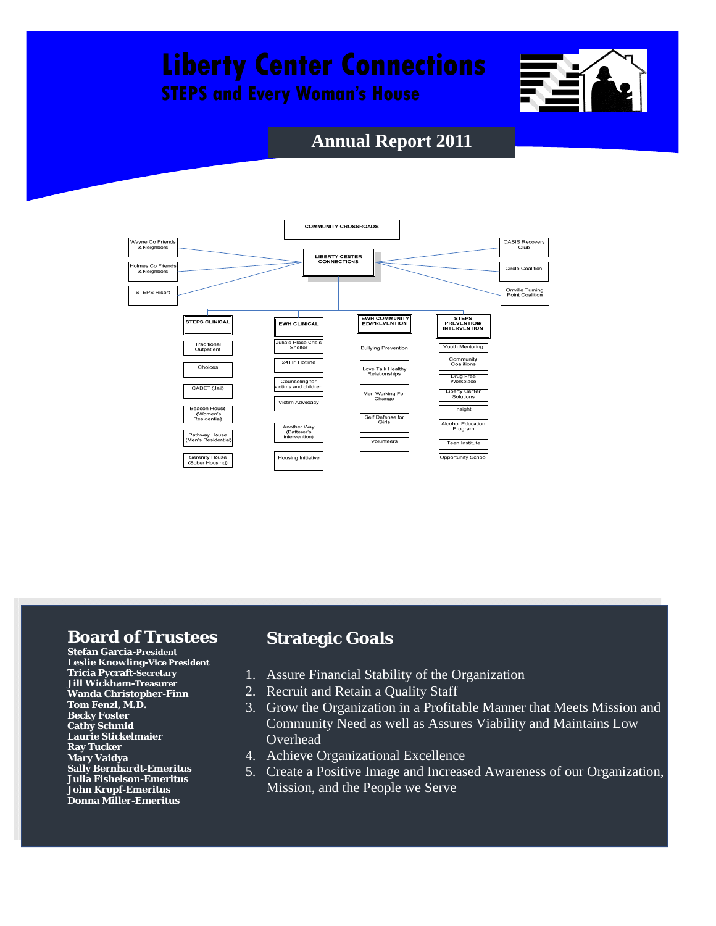# **Liberty Center Connections**

**STEPS and Every Woman's House** 



## **Annual Report 2011**



## **Board of Trustees**

**Stefan Garcia-President Leslie Knowling-Vice President Tricia Pycraft-Secretary Jill Wickham-Treasurer Wanda Christopher-Finn Tom Fenzl, M.D. Becky Foster Cathy Schmid Laurie Stickelmaier Ray Tucker Mary Vaidya Sally Bernhardt-Emeritus Julia Fishelson-Emeritus John Kropf-Emeritus Donna Miller-Emeritus** 

## **Strategic Goals**

- 1. Assure Financial Stability of the Organization
- 2. Recruit and Retain a Quality Staff
- 3. Grow the Organization in a Profitable Manner that Meets Mission and Community Need as well as Assures Viability and Maintains Low Overhead
- 4. Achieve Organizational Excellence
- 5. Create a Positive Image and Increased Awareness of our Organization, Mission, and the People we Serve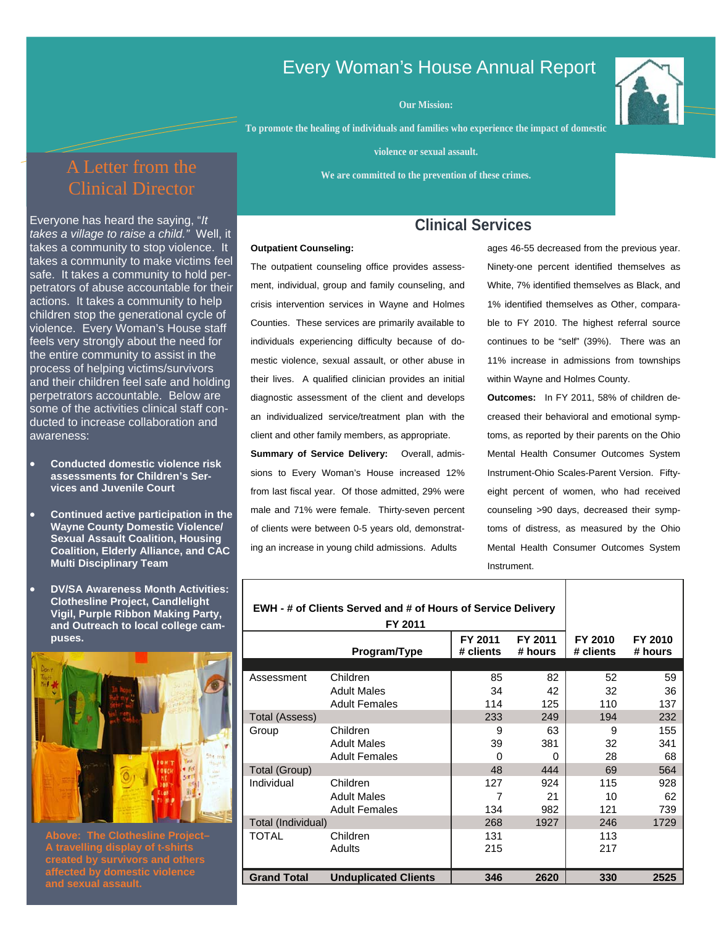## Every Woman's House Annual Report

**Our Mission:** 

**To promote the healing of individuals and families who experience the impact of domestic** 

**violence or sexual assault.** 

**We are committed to the prevention of these crimes.** 

## A Letter from the Clinical Director

violence. Every Woman's House staff Everyone has heard the saying, "*It takes a village to raise a child."* Well, it takes a community to stop violence. It takes a community to make victims feel safe. It takes a community to hold perpetrators of abuse accountable for their actions. It takes a community to help children stop the generational cycle of feels very strongly about the need for the entire community to assist in the process of helping victims/survivors and their children feel safe and holding perpetrators accountable. Below are some of the activities clinical staff conducted to increase collaboration and awareness:

- **Conducted domestic violence risk assessments for Children's Services and Juvenile Court**
- **Continued active participation in the Wayne County Domestic Violence/ Sexual Assault Coalition, Housing Coalition, Elderly Alliance, and CAC Multi Disciplinary Team**
- **DV/SA Awareness Month Activities: Clothesline Project, Candlelight Vigil, Purple Ribbon Making Party, and Outreach to local college campuses.**



**Above: The Clothesline Project– A travelling display of t-shirts affected by domestic violence** 

### **Clinical Services**

#### **Outpatient Counseling:**

The outpatient counseling office provides assessment, individual, group and family counseling, and crisis intervention services in Wayne and Holmes Counties. These services are primarily available to individuals experiencing difficulty because of domestic violence, sexual assault, or other abuse in their lives. A qualified clinician provides an initial diagnostic assessment of the client and develops an individualized service/treatment plan with the client and other family members, as appropriate.

**Summary of Service Delivery:** Overall, admissions to Every Woman's House increased 12% from last fiscal year. Of those admitted, 29% were male and 71% were female. Thirty-seven percent of clients were between 0-5 years old, demonstrating an increase in young child admissions. Adults

ages 46-55 decreased from the previous year. Ninety-one percent identified themselves as White, 7% identified themselves as Black, and 1% identified themselves as Other, comparable to FY 2010. The highest referral source continues to be "self" (39%). There was an 11% increase in admissions from townships within Wayne and Holmes County.

**Outcomes:** In FY 2011, 58% of children decreased their behavioral and emotional symptoms, as reported by their parents on the Ohio Mental Health Consumer Outcomes System Instrument-Ohio Scales-Parent Version. Fiftyeight percent of women, who had received counseling >90 days, decreased their symptoms of distress, as measured by the Ohio Mental Health Consumer Outcomes System Instrument.

| EWH - # of Clients Served and # of Hours of Service Delivery |                             |                      |                    |                      |                    |
|--------------------------------------------------------------|-----------------------------|----------------------|--------------------|----------------------|--------------------|
|                                                              | Program/Type                | FY 2011<br># clients | FY 2011<br># hours | FY 2010<br># clients | FY 2010<br># hours |
|                                                              |                             |                      |                    |                      |                    |
| Assessment                                                   | Children                    | 85                   | 82                 | 52                   | 59                 |
|                                                              | <b>Adult Males</b>          | 34                   | 42                 | 32                   | 36                 |
|                                                              | <b>Adult Females</b>        | 114                  | 125                | 110                  | 137                |
| Total (Assess)                                               |                             |                      |                    | 194                  | 232                |
| Group                                                        | Children                    | 9                    | 63                 | 9                    | 155                |
|                                                              | <b>Adult Males</b>          | 39                   | 381                | 32                   | 341                |
|                                                              | <b>Adult Females</b>        | $\Omega$             | 0                  | 28                   | 68                 |
| Total (Group)                                                |                             | 48                   | 444                | 69                   | 564                |
| Individual                                                   | Children                    | 127                  | 924                | 115                  | 928                |
|                                                              | <b>Adult Males</b>          | 7                    | 21                 | 10                   | 62                 |
|                                                              | <b>Adult Females</b>        | 134                  | 982                | 121                  | 739                |
| Total (Individual)                                           | 268                         | 1927                 | 246                | 1729                 |                    |
| TOTAL                                                        | Children                    | 131                  |                    | 113                  |                    |
|                                                              | Adults                      | 215                  |                    | 217                  |                    |
|                                                              |                             |                      |                    |                      |                    |
| <b>Grand Total</b>                                           | <b>Unduplicated Clients</b> | 346                  | 2620               | 330                  | 2525               |

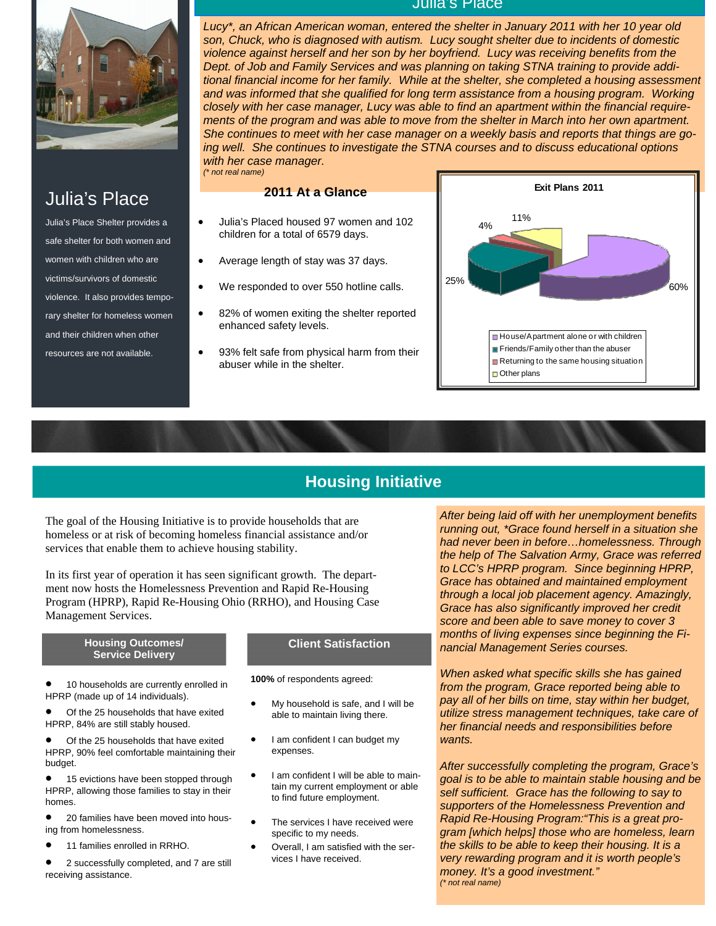

## Julia's Place

Julia's Place Shelter provides a safe shelter for both women and women with children who are victims/survivors of domestic violence. It also provides temporary shelter for homeless women and their children when other resources are not available.

#### Julia's Place

*Lucy\*, an African American woman, entered the shelter in January 2011 with her 10 year old son, Chuck, who is diagnosed with autism. Lucy sought shelter due to incidents of domestic violence against herself and her son by her boyfriend. Lucy was receiving benefits from the Dept. of Job and Family Services and was planning on taking STNA training to provide additional financial income for her family. While at the shelter, she completed a housing assessment*  and was informed that she qualified for long term assistance from a housing program. Working *closely with her case manager, Lucy was able to find an apartment within the financial requirements of the program and was able to move from the shelter in March into her own apartment. She continues to meet with her case manager on a weekly basis and reports that things are going well. She continues to investigate the STNA courses and to discuss educational options with her case manager. (\* not real name)* 

#### **2011 At a Glance**

- Julia's Placed housed 97 women and 102 children for a total of 6579 days.
- Average length of stay was 37 days.
- We responded to over 550 hotline calls.
- 82% of women exiting the shelter reported enhanced safety levels.
- 93% felt safe from physical harm from their abuser while in the shelter.



## **Housing Initiative**

The goal of the Housing Initiative is to provide households that are homeless or at risk of becoming homeless financial assistance and/or services that enable them to achieve housing stability.

In its first year of operation it has seen significant growth. The department now hosts the Homelessness Prevention and Rapid Re-Housing Program (HPRP), Rapid Re-Housing Ohio (RRHO), and Housing Case Management Services.

#### **Housing Outcomes/ Service Delivery**

• 10 households are currently enrolled in HPRP (made up of 14 individuals).

Of the 25 households that have exited HPRP, 84% are still stably housed.

Of the 25 households that have exited HPRP, 90% feel comfortable maintaining their budget.

• 15 evictions have been stopped through HPRP, allowing those families to stay in their homes.

• 20 families have been moved into housing from homelessness.

11 families enrolled in RRHO.

• 2 successfully completed, and 7 are still receiving assistance.

#### **Client Satisfaction**

**100%** of respondents agreed:

- My household is safe, and I will be able to maintain living there.
- I am confident I can budget my expenses.
- I am confident I will be able to maintain my current employment or able to find future employment.
- The services I have received were specific to my needs.
- Overall, I am satisfied with the services I have received.

*After being laid off with her unemployment benefits running out, \*Grace found herself in a situation she had never been in before…homelessness. Through the help of The Salvation Army, Grace was referred to LCC's HPRP program. Since beginning HPRP, Grace has obtained and maintained employment through a local job placement agency. Amazingly, Grace has also significantly improved her credit score and been able to save money to cover 3 months of living expenses since beginning the Financial Management Series courses.* 

*When asked what specific skills she has gained from the program, Grace reported being able to pay all of her bills on time, stay within her budget, utilize stress management techniques, take care of her financial needs and responsibilities before wants.* 

*After successfully completing the program, Grace's goal is to be able to maintain stable housing and be self sufficient. Grace has the following to say to supporters of the Homelessness Prevention and Rapid Re-Housing Program:"This is a great program [which helps] those who are homeless, learn the skills to be able to keep their housing. It is a very rewarding program and it is worth people's money. It's a good investment." (\* not real name)*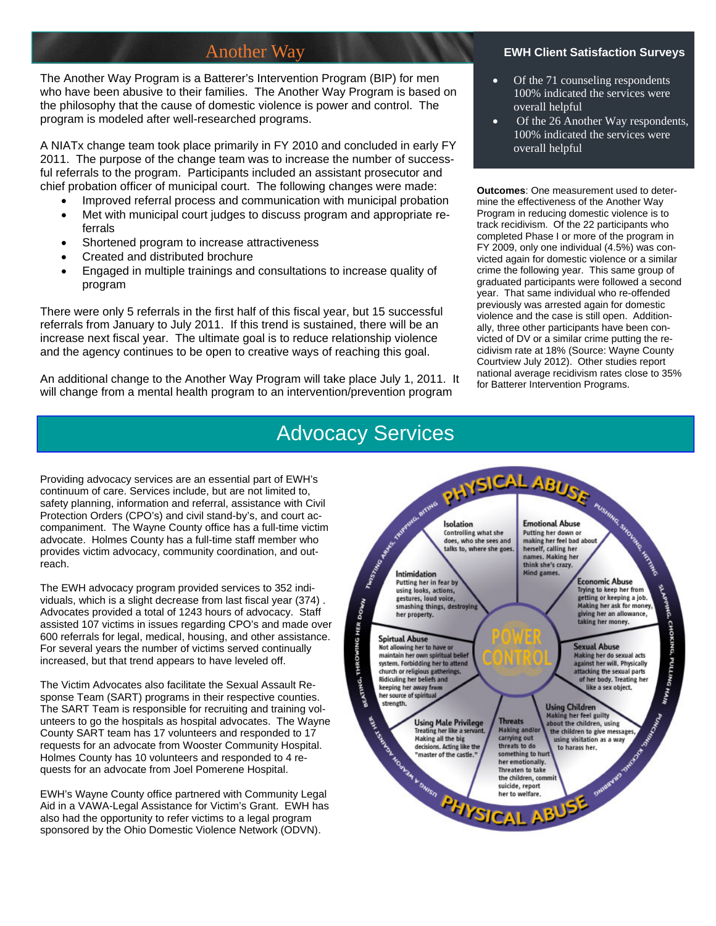## Another Way

The Another Way Program is a Batterer's Intervention Program (BIP) for men who have been abusive to their families. The Another Way Program is based on the philosophy that the cause of domestic violence is power and control. The program is modeled after well-researched programs.

A NIATx change team took place primarily in FY 2010 and concluded in early FY 2011. The purpose of the change team was to increase the number of successful referrals to the program. Participants included an assistant prosecutor and chief probation officer of municipal court. The following changes were made:

- Improved referral process and communication with municipal probation
- Met with municipal court judges to discuss program and appropriate referrals
- Shortened program to increase attractiveness
- Created and distributed brochure
- Engaged in multiple trainings and consultations to increase quality of program

There were only 5 referrals in the first half of this fiscal year, but 15 successful referrals from January to July 2011. If this trend is sustained, there will be an increase next fiscal year. The ultimate goal is to reduce relationship violence and the agency continues to be open to creative ways of reaching this goal.

An additional change to the Another Way Program will take place July 1, 2011. It will change from a mental health program to an intervention/prevention program

#### **EWH Client Satisfaction Surveys**

- Of the 71 counseling respondents 100% indicated the services were overall helpful
- Of the 26 Another Way respondents, 100% indicated the services were overall helpful

**Outcomes**: One measurement used to determine the effectiveness of the Another Way Program in reducing domestic violence is to track recidivism. Of the 22 participants who completed Phase I or more of the program in FY 2009, only one individual (4.5%) was convicted again for domestic violence or a similar crime the following year. This same group of graduated participants were followed a second year. That same individual who re-offended previously was arrested again for domestic violence and the case is still open. Additionally, three other participants have been convicted of DV or a similar crime putting the recidivism rate at 18% (Source: Wayne County Courtview July 2012). Other studies report national average recidivism rates close to 35% for Batterer Intervention Programs.

Providing advocacy services are an essential part of EWH's continuum of care. Services include, but are not limited to, safety planning, information and referral, assistance with Civil Protection Orders (CPO's) and civil stand-by's, and court accompaniment. The Wayne County office has a full-time victim advocate. Holmes County has a full-time staff member who provides victim advocacy, community coordination, and outreach.

The EWH advocacy program provided services to 352 individuals, which is a slight decrease from last fiscal year (374) . Advocates provided a total of 1243 hours of advocacy. Staff assisted 107 victims in issues regarding CPO's and made over 600 referrals for legal, medical, housing, and other assistance. For several years the number of victims served continually increased, but that trend appears to have leveled off.

The Victim Advocates also facilitate the Sexual Assault Response Team (SART) programs in their respective counties. The SART Team is responsible for recruiting and training volunteers to go the hospitals as hospital advocates. The Wayne County SART team has 17 volunteers and responded to 17 requests for an advocate from Wooster Community Hospital. Holmes County has 10 volunteers and responded to 4 requests for an advocate from Joel Pomerene Hospital.

EWH's Wayne County office partnered with Community Legal Aid in a VAWA-Legal Assistance for Victim's Grant. EWH has also had the opportunity to refer victims to a legal program sponsored by the Ohio Domestic Violence Network (ODVN).

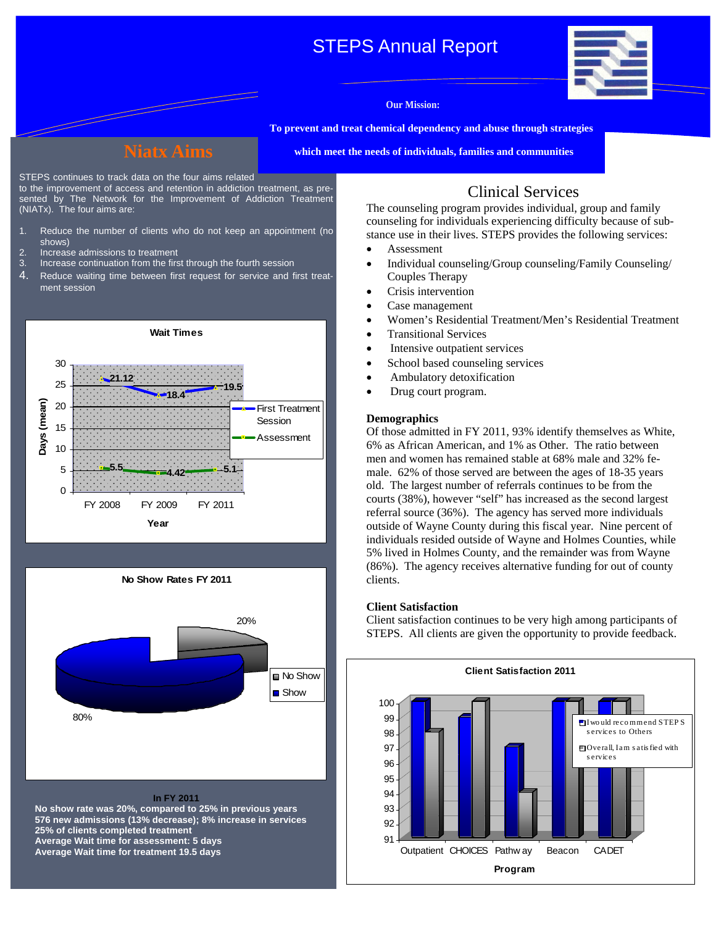## STEPS Annual Report

![](_page_4_Picture_1.jpeg)

#### **Our Mission:**

**To prevent and treat chemical dependency and abuse through strategies** 

**which meet the needs of individuals, families and communities** 

STEPS continues to track data on the four aims related

to the improvement of access and retention in addiction treatment, as presented by The Network for the Improvement of Addiction Treatment (NIATx). The four aims are:

- 1. Reduce the number of clients who do not keep an appointment (no shows)
- 2. Increase admissions to treatment<br>3. Increase continuation from the firs
- Increase continuation from the first through the fourth session
- 4. Reduce waiting time between first request for service and first treatment session

![](_page_4_Figure_12.jpeg)

![](_page_4_Figure_13.jpeg)

**576 new admissions (13% decrease); 8% increase in services 25% of clients completed treatment Average Wait time for assessment: 5 days Average Wait time for treatment 19.5 days** 

## Clinical Services

The counseling program provides individual, group and family counseling for individuals experiencing difficulty because of substance use in their lives. STEPS provides the following services:

- Assessment
- Individual counseling/Group counseling/Family Counseling/ Couples Therapy
- Crisis intervention
- Case management
- Women's Residential Treatment/Men's Residential Treatment
- Transitional Services
- Intensive outpatient services
- School based counseling services
- Ambulatory detoxification
- Drug court program.

#### **Demographics**

Of those admitted in FY 2011, 93% identify themselves as White, 6% as African American, and 1% as Other. The ratio between men and women has remained stable at 68% male and 32% female. 62% of those served are between the ages of 18-35 years old. The largest number of referrals continues to be from the courts (38%), however "self" has increased as the second largest referral source (36%). The agency has served more individuals outside of Wayne County during this fiscal year. Nine percent of individuals resided outside of Wayne and Holmes Counties, while 5% lived in Holmes County, and the remainder was from Wayne (86%). The agency receives alternative funding for out of county clients.

#### **Client Satisfaction**

Client satisfaction continues to be very high among participants of STEPS. All clients are given the opportunity to provide feedback.

![](_page_4_Figure_31.jpeg)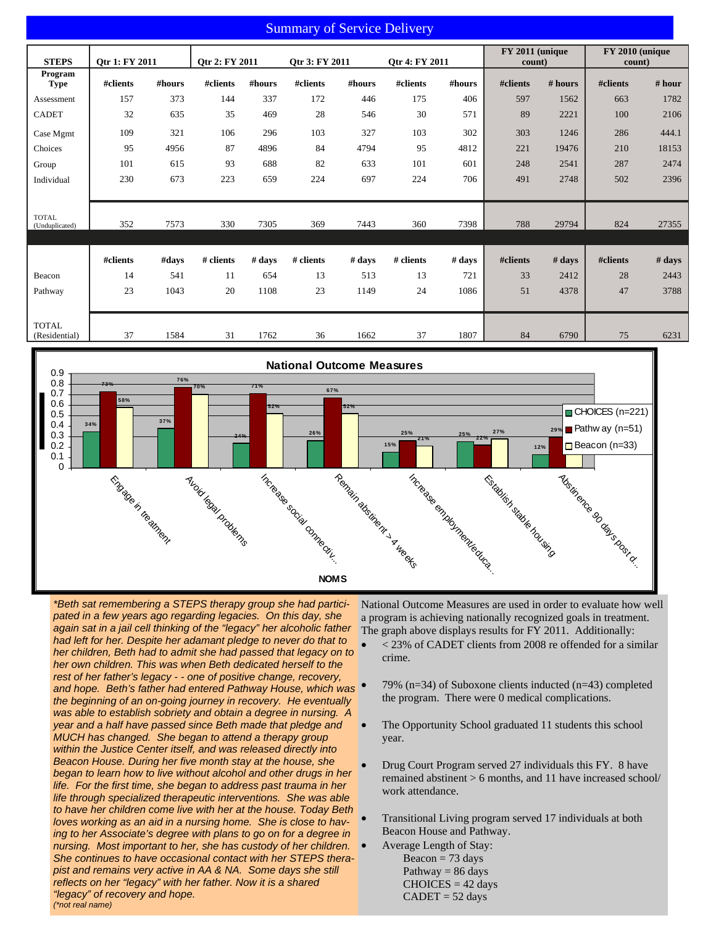### Summary of Service Delivery

| <b>STEPS</b>                  | Otr 1: FY 2011 |        | Otr 2: FY 2011 |        | Otr 3: FY 2011 |        | Otr 4: FY 2011 |        | FY 2011 (unique<br>count) |             | FY 2010 (unique<br>count) |        |
|-------------------------------|----------------|--------|----------------|--------|----------------|--------|----------------|--------|---------------------------|-------------|---------------------------|--------|
| Program                       |                |        |                |        |                |        |                |        |                           |             |                           |        |
| Type                          | #clients       | #hours | #clients       | #hours | #clients       | #hours | #clients       | #hours | #clients                  | # hours     | #clients                  | # hour |
| Assessment                    | 157            | 373    | 144            | 337    | 172            | 446    | 175            | 406    | 597                       | 1562        | 663                       | 1782   |
| <b>CADET</b>                  | 32             | 635    | 35             | 469    | 28             | 546    | 30             | 571    | 89                        | 2221        | 100                       | 2106   |
| Case Mgmt                     | 109            | 321    | 106            | 296    | 103            | 327    | 103            | 302    | 303                       | 1246        | 286                       | 444.1  |
| Choices                       | 95             | 4956   | 87             | 4896   | 84             | 4794   | 95             | 4812   | 221                       | 19476       | 210                       | 18153  |
| Group                         | 101            | 615    | 93             | 688    | 82             | 633    | 101            | 601    | 248                       | 2541        | 287                       | 2474   |
| Individual                    | 230            | 673    | 223            | 659    | 224            | 697    | 224            | 706    | 491                       | 2748        | 502                       | 2396   |
|                               |                |        |                |        |                |        |                |        |                           |             |                           |        |
| <b>TOTAL</b>                  |                |        |                |        |                |        |                |        |                           |             |                           |        |
| (Unduplicated)                | 352            | 7573   | 330            | 7305   | 369            | 7443   | 360            | 7398   | 788                       | 29794       | 824                       | 27355  |
|                               |                |        |                |        |                |        |                |        |                           |             |                           |        |
|                               | #clients       | #days  | # clients      | # days | # clients      | # days | # clients      | # days | #clients                  | $# \, days$ | #clients                  | # days |
| Beacon                        | 14             | 541    | 11             | 654    | 13             | 513    | 13             | 721    | 33                        | 2412        | 28                        | 2443   |
| Pathway                       | 23             | 1043   | 20             | 1108   | 23             | 1149   | 24             | 1086   | 51                        | 4378        | 47                        | 3788   |
|                               |                |        |                |        |                |        |                |        |                           |             |                           |        |
|                               |                |        |                |        |                |        |                |        |                           |             |                           |        |
| <b>TOTAL</b><br>(Residential) | 37             | 1584   | 31             | 1762   | 36             | 1662   | 37             | 1807   | 84                        | 6790        | 75                        | 6231   |

![](_page_5_Figure_2.jpeg)

*\*Beth sat remembering a STEPS therapy group she had participated in a few years ago regarding legacies. On this day, she again sat in a jail cell thinking of the "legacy" her alcoholic father had left for her. Despite her adamant pledge to never do that to her children, Beth had to admit she had passed that legacy on to her own children. This was when Beth dedicated herself to the rest of her father's legacy - - one of positive change, recovery, and hope. Beth's father had entered Pathway House, which was the beginning of an on-going journey in recovery. He eventually was able to establish sobriety and obtain a degree in nursing. A year and a half have passed since Beth made that pledge and MUCH has changed. She began to attend a therapy group within the Justice Center itself, and was released directly into Beacon House. During her five month stay at the house, she began to learn how to live without alcohol and other drugs in her life. For the first time, she began to address past trauma in her life through specialized therapeutic interventions. She was able to have her children come live with her at the house. Today Beth loves working as an aid in a nursing home. She is close to having to her Associate's degree with plans to go on for a degree in nursing. Most important to her, she has custody of her children. She continues to have occasional contact with her STEPS therapist and remains very active in AA & NA. Some days she still reflects on her "legacy" with her father. Now it is a shared "legacy" of recovery and hope. (\*not real name)* 

National Outcome Measures are used in order to evaluate how well a program is achieving nationally recognized goals in treatment. The graph above displays results for FY 2011. Additionally:

- < 23% of CADET clients from 2008 re offended for a similar crime.
- 79% ( $n=34$ ) of Suboxone clients inducted ( $n=43$ ) completed the program. There were 0 medical complications.
- The Opportunity School graduated 11 students this school year.
- Drug Court Program served 27 individuals this FY. 8 have remained abstinent > 6 months, and 11 have increased school/ work attendance.
- Transitional Living program served 17 individuals at both Beacon House and Pathway.
	- Average Length of Stay: Beacon  $= 73$  days Pathway  $= 86$  days  $CHOICES = 42 days$  $CADET = 52 \text{ days}$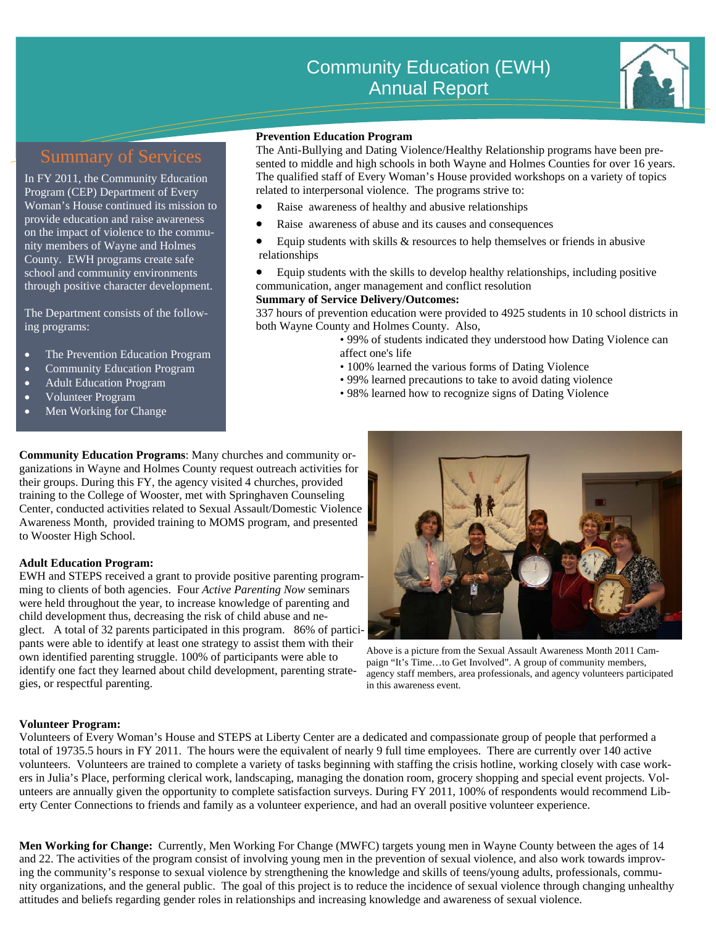![](_page_6_Picture_1.jpeg)

In FY 2011, the Community Education Program (CEP) Department of Every Woman's House continued its mission to provide education and raise awareness on the impact of violence to the community members of Wayne and Holmes County. EWH programs create safe school and community environments through positive character development.

ing programs: The Department consists of the follow-

- The Prevention Education Program
- Community Education Program
- Adult Education Program
- Volunteer Program
- Men Working for Change

#### **Prevention Education Program**

The Anti-Bullying and Dating Violence/Healthy Relationship programs have been presented to middle and high schools in both Wayne and Holmes Counties for over 16 years. The qualified staff of Every Woman's House provided workshops on a variety of topics related to interpersonal violence. The programs strive to:

- Raise awareness of healthy and abusive relationships
- Raise awareness of abuse and its causes and consequences
- Equip students with skills  $\&$  resources to help themselves or friends in abusive relationships
- Equip students with the skills to develop healthy relationships, including positive communication, anger management and conflict resolution

#### **Summary of Service Delivery/Outcomes:**

337 hours of prevention education were provided to 4925 students in 10 school districts in both Wayne County and Holmes County. Also,

- 99% of students indicated they understood how Dating Violence can affect one's life
- 100% learned the various forms of Dating Violence
- 99% learned precautions to take to avoid dating violence
- 98% learned how to recognize signs of Dating Violence

**Community Education Programs**: Many churches and community organizations in Wayne and Holmes County request outreach activities for their groups. During this FY, the agency visited 4 churches, provided training to the College of Wooster, met with Springhaven Counseling Center, conducted activities related to Sexual Assault/Domestic Violence Awareness Month, provided training to MOMS program, and presented to Wooster High School.

#### **Adult Education Program:**

EWH and STEPS received a grant to provide positive parenting programming to clients of both agencies. Four *Active Parenting Now* seminars were held throughout the year, to increase knowledge of parenting and child development thus, decreasing the risk of child abuse and neglect. A total of 32 parents participated in this program. 86% of participants were able to identify at least one strategy to assist them with their own identified parenting struggle. 100% of participants were able to identify one fact they learned about child development, parenting strategies, or respectful parenting.

![](_page_6_Picture_25.jpeg)

Above is a picture from the Sexual Assault Awareness Month 2011 Campaign "It's Time…to Get Involved". A group of community members, agency staff members, area professionals, and agency volunteers participated in this awareness event.

#### **Volunteer Program:**

Volunteers of Every Woman's House and STEPS at Liberty Center are a dedicated and compassionate group of people that performed a total of 19735.5 hours in FY 2011. The hours were the equivalent of nearly 9 full time employees. There are currently over 140 active volunteers. Volunteers are trained to complete a variety of tasks beginning with staffing the crisis hotline, working closely with case workers in Julia's Place, performing clerical work, landscaping, managing the donation room, grocery shopping and special event projects. Volunteers are annually given the opportunity to complete satisfaction surveys. During FY 2011, 100% of respondents would recommend Liberty Center Connections to friends and family as a volunteer experience, and had an overall positive volunteer experience.

**Men Working for Change:** Currently, Men Working For Change (MWFC) targets young men in Wayne County between the ages of 14 and 22. The activities of the program consist of involving young men in the prevention of sexual violence, and also work towards improving the community's response to sexual violence by strengthening the knowledge and skills of teens/young adults, professionals, community organizations, and the general public. The goal of this project is to reduce the incidence of sexual violence through changing unhealthy attitudes and beliefs regarding gender roles in relationships and increasing knowledge and awareness of sexual violence.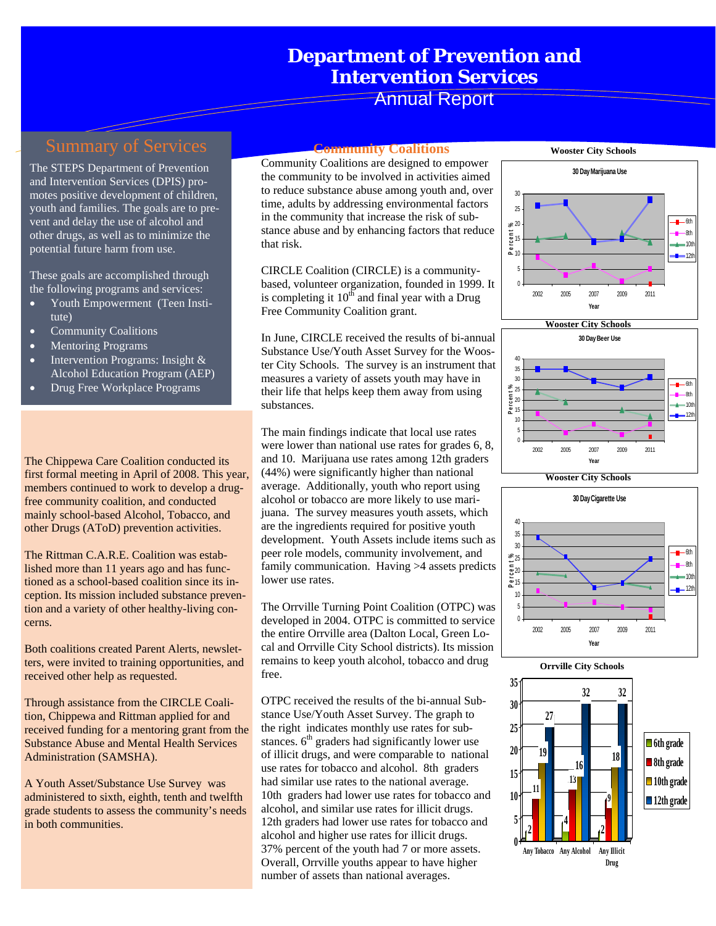## **Department of Prevention and Intervention Services**

Annual Report

The STEPS Department of Prevention and Intervention Services (DPIS) promotes positive development of children, youth and families. The goals are to prevent and delay the use of alcohol and other drugs, as well as to minimize the potential future harm from use.

These goals are accomplished through the following programs and services:

- tute) • Youth Empowerment (Teen Insti-
- Community Coalitions
- Mentoring Programs
- Intervention Programs: Insight & Alcohol Education Program (AEP)
- Drug Free Workplace Programs

The Chippewa Care Coalition conducted its first formal meeting in April of 2008. This year, members continued to work to develop a drugfree community coalition, and conducted mainly school-based Alcohol, Tobacco, and other Drugs (AToD) prevention activities.

The Rittman C.A.R.E. Coalition was established more than 11 years ago and has functioned as a school-based coalition since its inception. Its mission included substance prevention and a variety of other healthy-living concerns.

Both coalitions created Parent Alerts, newsletters, were invited to training opportunities, and received other help as requested.

Through assistance from the CIRCLE Coalition, Chippewa and Rittman applied for and received funding for a mentoring grant from the Substance Abuse and Mental Health Services Administration (SAMSHA).

A Youth Asset/Substance Use Survey was administered to sixth, eighth, tenth and twelfth grade students to assess the community's needs in both communities.

#### **Community Coalitions**

Community Coalitions are designed to empower the community to be involved in activities aimed to reduce substance abuse among youth and, over time, adults by addressing environmental factors in the community that increase the risk of substance abuse and by enhancing factors that reduce that risk.

CIRCLE Coalition (CIRCLE) is a communitybased, volunteer organization, founded in 1999. It is completing it  $10^{th}$  and final year with a Drug Free Community Coalition grant.

In June, CIRCLE received the results of bi-annual Substance Use/Youth Asset Survey for the Wooster City Schools. The survey is an instrument that measures a variety of assets youth may have in their life that helps keep them away from using substances.

The main findings indicate that local use rates were lower than national use rates for grades 6, 8, and 10. Marijuana use rates among 12th graders (44%) were significantly higher than national average. Additionally, youth who report using alcohol or tobacco are more likely to use marijuana. The survey measures youth assets, which are the ingredients required for positive youth development. Youth Assets include items such as peer role models, community involvement, and family communication. Having >4 assets predicts lower use rates.

The Orrville Turning Point Coalition (OTPC) was developed in 2004. OTPC is committed to service the entire Orrville area (Dalton Local, Green Local and Orrville City School districts). Its mission remains to keep youth alcohol, tobacco and drug free.

OTPC received the results of the bi-annual Substance Use/Youth Asset Survey. The graph to the right indicates monthly use rates for substances.  $6<sup>th</sup>$  graders had significantly lower use of illicit drugs, and were comparable to national use rates for tobacco and alcohol. 8th graders had similar use rates to the national average. 10th graders had lower use rates for tobacco and alcohol, and similar use rates for illicit drugs. 12th graders had lower use rates for tobacco and alcohol and higher use rates for illicit drugs. 37% percent of the youth had 7 or more assets. Overall, Orrville youths appear to have higher number of assets than national averages.

![](_page_7_Figure_22.jpeg)

![](_page_7_Figure_23.jpeg)

![](_page_7_Figure_24.jpeg)

![](_page_7_Figure_25.jpeg)

![](_page_7_Figure_26.jpeg)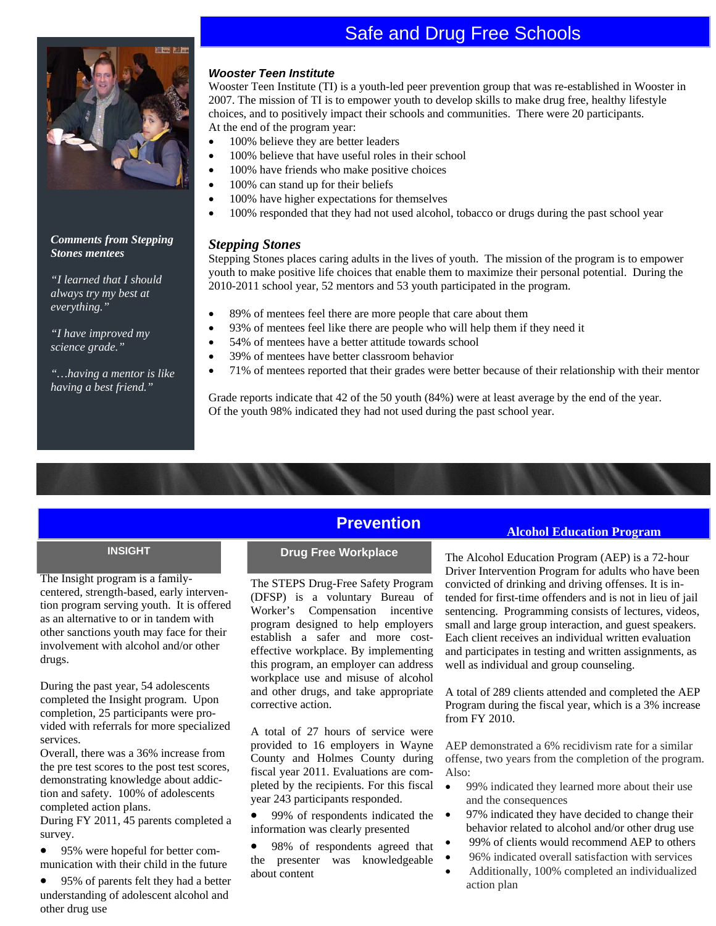## Safe and Drug Free Schools

![](_page_8_Picture_1.jpeg)

#### *Comments from Stepping Stones mentees*

*"I learned that I should always try my best at everything."* 

*"I have improved my science grade."* 

*"…having a mentor is like having a best friend."* 

#### *Wooster Teen Institute*

Wooster Teen Institute (TI) is a youth-led peer prevention group that was re-established in Wooster in 2007. The mission of TI is to empower youth to develop skills to make drug free, healthy lifestyle choices, and to positively impact their schools and communities. There were 20 participants. At the end of the program year:

- 100% believe they are better leaders
- 100% believe that have useful roles in their school
- 100% have friends who make positive choices
- 100% can stand up for their beliefs
- 100% have higher expectations for themselves
- 100% responded that they had not used alcohol, tobacco or drugs during the past school year

#### *Stepping Stones*

Stepping Stones places caring adults in the lives of youth. The mission of the program is to empower youth to make positive life choices that enable them to maximize their personal potential. During the 2010-2011 school year, 52 mentors and 53 youth participated in the program.

- 89% of mentees feel there are more people that care about them
- 93% of mentees feel like there are people who will help them if they need it
- 54% of mentees have a better attitude towards school
- 39% of mentees have better classroom behavior
- 71% of mentees reported that their grades were better because of their relationship with their mentor

Grade reports indicate that 42 of the 50 youth (84%) were at least average by the end of the year. Of the youth 98% indicated they had not used during the past school year.

The Insight program is a familycentered, strength-based, early intervention program serving youth. It is offered as an alternative to or in tandem with other sanctions youth may face for their involvement with alcohol and/or other drugs.

During the past year, 54 adolescents completed the Insight program. Upon completion, 25 participants were provided with referrals for more specialized services.

Overall, there was a 36% increase from the pre test scores to the post test scores, demonstrating knowledge about addiction and safety. 100% of adolescents completed action plans.

During FY 2011, 45 parents completed a survey.

- 95% were hopeful for better communication with their child in the future
- 95% of parents felt they had a better understanding of adolescent alcohol and other drug use

## **Prevention**

The STEPS Drug-Free Safety Program (DFSP) is a voluntary Bureau of Worker's Compensation incentive program designed to help employers establish a safer and more costeffective workplace. By implementing this program, an employer can address workplace use and misuse of alcohol and other drugs, and take appropriate corrective action.

A total of 27 hours of service were provided to 16 employers in Wayne County and Holmes County during fiscal year 2011. Evaluations are completed by the recipients. For this fiscal year 243 participants responded.

• 99% of respondents indicated the information was clearly presented

• 98% of respondents agreed that the presenter was knowledgeable about content

#### **Alcohol Education Program**

**INSIGHT Drug Free Workplace The Alcohol Education Program (AEP) is a 72-hour** Driver Intervention Program for adults who have been convicted of drinking and driving offenses. It is intended for first-time offenders and is not in lieu of jail sentencing. Programming consists of lectures, videos, small and large group interaction, and guest speakers. Each client receives an individual written evaluation and participates in testing and written assignments, as well as individual and group counseling.

> A total of 289 clients attended and completed the AEP Program during the fiscal year, which is a 3% increase from FY 2010.

AEP demonstrated a 6% recidivism rate for a similar offense, two years from the completion of the program. Also:

- 99% indicated they learned more about their use and the consequences
- 97% indicated they have decided to change their behavior related to alcohol and/or other drug use
- 99% of clients would recommend AEP to others • 96% indicated overall satisfaction with services
- 
- Additionally, 100% completed an individualized action plan